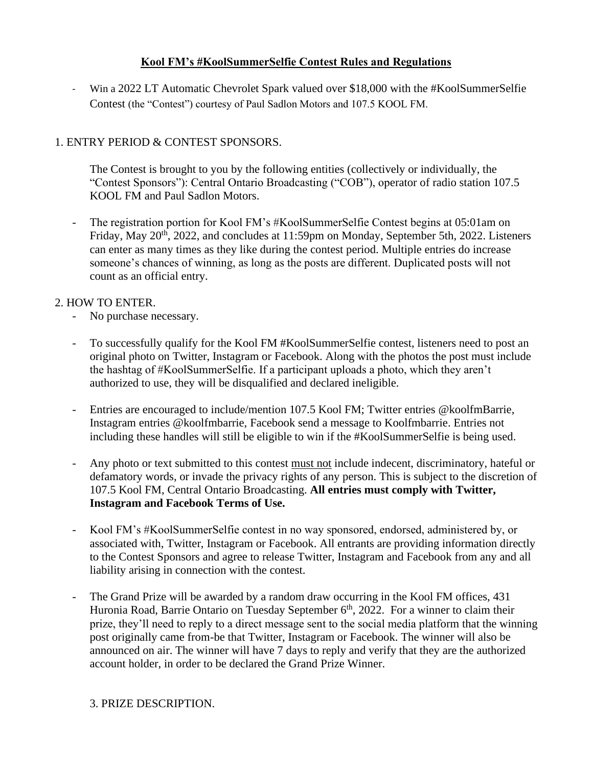## **Kool FM's #KoolSummerSelfie Contest Rules and Regulations**

- Win a 2022 LT Automatic Chevrolet Spark valued over \$18,000 with the #KoolSummerSelfie Contest (the "Contest") courtesy of Paul Sadlon Motors and 107.5 KOOL FM.

# 1. ENTRY PERIOD & CONTEST SPONSORS.

The Contest is brought to you by the following entities (collectively or individually, the "Contest Sponsors"): Central Ontario Broadcasting ("COB"), operator of radio station 107.5 KOOL FM and Paul Sadlon Motors.

The registration portion for Kool FM's #KoolSummerSelfie Contest begins at 05:01am on Friday, May 20<sup>th</sup>, 2022, and concludes at 11:59pm on Monday, September 5th, 2022. Listeners can enter as many times as they like during the contest period. Multiple entries do increase someone's chances of winning, as long as the posts are different. Duplicated posts will not count as an official entry.

#### 2. HOW TO ENTER.

- No purchase necessary.
- To successfully qualify for the Kool FM #KoolSummerSelfie contest, listeners need to post an original photo on Twitter, Instagram or Facebook. Along with the photos the post must include the hashtag of #KoolSummerSelfie. If a participant uploads a photo, which they aren't authorized to use, they will be disqualified and declared ineligible.
- Entries are encouraged to include/mention 107.5 Kool FM; Twitter entries @koolfmBarrie, Instagram entries @koolfmbarrie, Facebook send a message to Koolfmbarrie. Entries not including these handles will still be eligible to win if the #KoolSummerSelfie is being used.
- Any photo or text submitted to this contest must not include indecent, discriminatory, hateful or defamatory words, or invade the privacy rights of any person. This is subject to the discretion of 107.5 Kool FM, Central Ontario Broadcasting. **All entries must comply with Twitter, Instagram and Facebook Terms of Use.**
- Kool FM's #KoolSummerSelfie contest in no way sponsored, endorsed, administered by, or associated with, Twitter, Instagram or Facebook. All entrants are providing information directly to the Contest Sponsors and agree to release Twitter, Instagram and Facebook from any and all liability arising in connection with the contest.
- The Grand Prize will be awarded by a random draw occurring in the Kool FM offices, 431 Huronia Road, Barrie Ontario on Tuesday September 6<sup>th</sup>, 2022. For a winner to claim their prize, they'll need to reply to a direct message sent to the social media platform that the winning post originally came from-be that Twitter, Instagram or Facebook. The winner will also be announced on air. The winner will have 7 days to reply and verify that they are the authorized account holder, in order to be declared the Grand Prize Winner.

#### 3. PRIZE DESCRIPTION.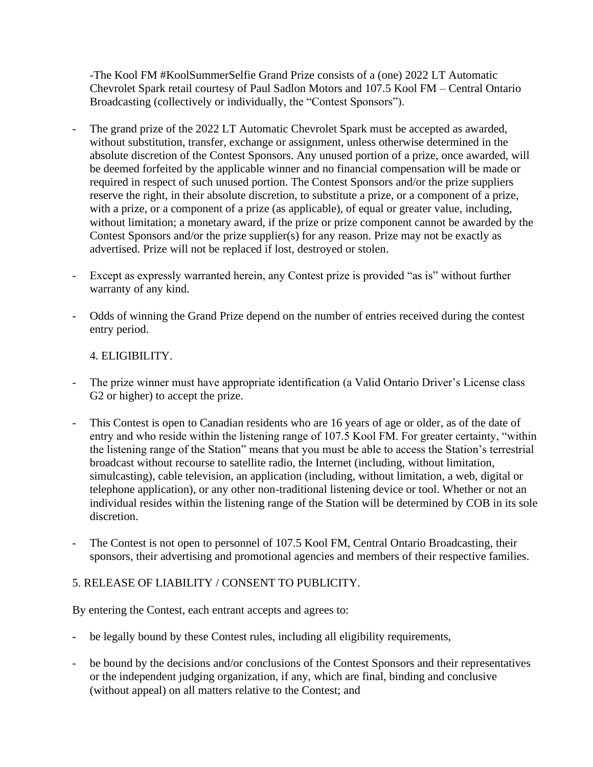-The Kool FM #KoolSummerSelfie Grand Prize consists of a (one) 2022 LT Automatic Chevrolet Spark retail courtesy of Paul Sadlon Motors and 107.5 Kool FM – Central Ontario Broadcasting (collectively or individually, the "Contest Sponsors").

- The grand prize of the 2022 LT Automatic Chevrolet Spark must be accepted as awarded, without substitution, transfer, exchange or assignment, unless otherwise determined in the absolute discretion of the Contest Sponsors. Any unused portion of a prize, once awarded, will be deemed forfeited by the applicable winner and no financial compensation will be made or required in respect of such unused portion. The Contest Sponsors and/or the prize suppliers reserve the right, in their absolute discretion, to substitute a prize, or a component of a prize, with a prize, or a component of a prize (as applicable), of equal or greater value, including, without limitation; a monetary award, if the prize or prize component cannot be awarded by the Contest Sponsors and/or the prize supplier(s) for any reason. Prize may not be exactly as advertised. Prize will not be replaced if lost, destroyed or stolen.
- Except as expressly warranted herein, any Contest prize is provided "as is" without further warranty of any kind.
- Odds of winning the Grand Prize depend on the number of entries received during the contest entry period.

#### 4. ELIGIBILITY.

- The prize winner must have appropriate identification (a Valid Ontario Driver's License class G2 or higher) to accept the prize.
- This Contest is open to Canadian residents who are 16 years of age or older, as of the date of entry and who reside within the listening range of 107.5 Kool FM. For greater certainty, "within the listening range of the Station" means that you must be able to access the Station's terrestrial broadcast without recourse to satellite radio, the Internet (including, without limitation, simulcasting), cable television, an application (including, without limitation, a web, digital or telephone application), or any other non-traditional listening device or tool. Whether or not an individual resides within the listening range of the Station will be determined by COB in its sole discretion.
- The Contest is not open to personnel of 107.5 Kool FM, Central Ontario Broadcasting, their sponsors, their advertising and promotional agencies and members of their respective families.

#### 5. RELEASE OF LIABILITY / CONSENT TO PUBLICITY.

By entering the Contest, each entrant accepts and agrees to:

- be legally bound by these Contest rules, including all eligibility requirements,
- be bound by the decisions and/or conclusions of the Contest Sponsors and their representatives or the independent judging organization, if any, which are final, binding and conclusive (without appeal) on all matters relative to the Contest; and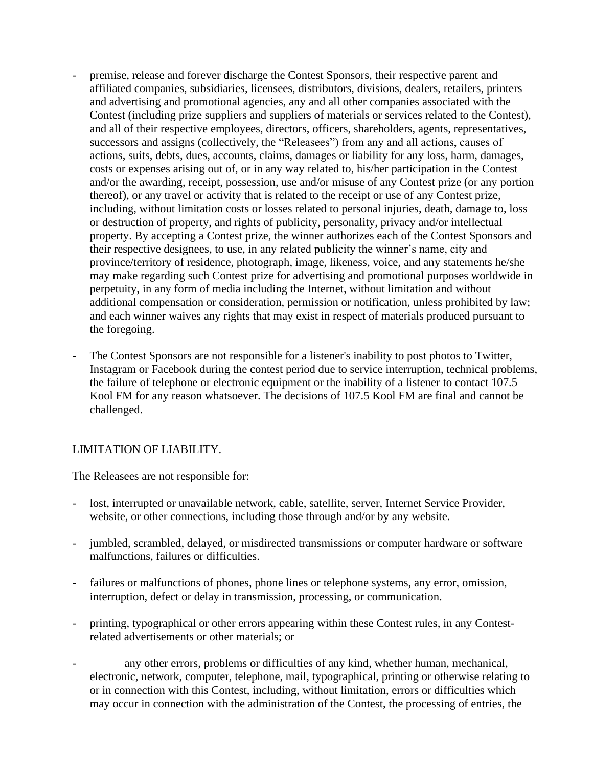- premise, release and forever discharge the Contest Sponsors, their respective parent and affiliated companies, subsidiaries, licensees, distributors, divisions, dealers, retailers, printers and advertising and promotional agencies, any and all other companies associated with the Contest (including prize suppliers and suppliers of materials or services related to the Contest), and all of their respective employees, directors, officers, shareholders, agents, representatives, successors and assigns (collectively, the "Releasees") from any and all actions, causes of actions, suits, debts, dues, accounts, claims, damages or liability for any loss, harm, damages, costs or expenses arising out of, or in any way related to, his/her participation in the Contest and/or the awarding, receipt, possession, use and/or misuse of any Contest prize (or any portion thereof), or any travel or activity that is related to the receipt or use of any Contest prize, including, without limitation costs or losses related to personal injuries, death, damage to, loss or destruction of property, and rights of publicity, personality, privacy and/or intellectual property. By accepting a Contest prize, the winner authorizes each of the Contest Sponsors and their respective designees, to use, in any related publicity the winner's name, city and province/territory of residence, photograph, image, likeness, voice, and any statements he/she may make regarding such Contest prize for advertising and promotional purposes worldwide in perpetuity, in any form of media including the Internet, without limitation and without additional compensation or consideration, permission or notification, unless prohibited by law; and each winner waives any rights that may exist in respect of materials produced pursuant to the foregoing.
- The Contest Sponsors are not responsible for a listener's inability to post photos to Twitter, Instagram or Facebook during the contest period due to service interruption, technical problems, the failure of telephone or electronic equipment or the inability of a listener to contact 107.5 Kool FM for any reason whatsoever. The decisions of 107.5 Kool FM are final and cannot be challenged.

#### LIMITATION OF LIABILITY.

The Releasees are not responsible for:

- lost, interrupted or unavailable network, cable, satellite, server, Internet Service Provider, website, or other connections, including those through and/or by any website.
- jumbled, scrambled, delayed, or misdirected transmissions or computer hardware or software malfunctions, failures or difficulties.
- failures or malfunctions of phones, phone lines or telephone systems, any error, omission, interruption, defect or delay in transmission, processing, or communication.
- printing, typographical or other errors appearing within these Contest rules, in any Contestrelated advertisements or other materials; or
- any other errors, problems or difficulties of any kind, whether human, mechanical, electronic, network, computer, telephone, mail, typographical, printing or otherwise relating to or in connection with this Contest, including, without limitation, errors or difficulties which may occur in connection with the administration of the Contest, the processing of entries, the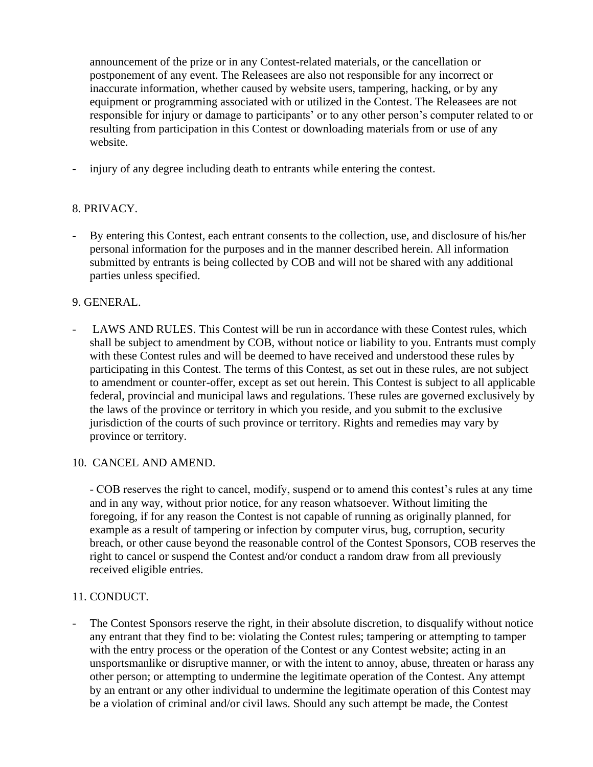announcement of the prize or in any Contest-related materials, or the cancellation or postponement of any event. The Releasees are also not responsible for any incorrect or inaccurate information, whether caused by website users, tampering, hacking, or by any equipment or programming associated with or utilized in the Contest. The Releasees are not responsible for injury or damage to participants' or to any other person's computer related to or resulting from participation in this Contest or downloading materials from or use of any website.

- injury of any degree including death to entrants while entering the contest.

## 8. PRIVACY.

- By entering this Contest, each entrant consents to the collection, use, and disclosure of his/her personal information for the purposes and in the manner described herein. All information submitted by entrants is being collected by COB and will not be shared with any additional parties unless specified.

#### 9. GENERAL.

- LAWS AND RULES. This Contest will be run in accordance with these Contest rules, which shall be subject to amendment by COB, without notice or liability to you. Entrants must comply with these Contest rules and will be deemed to have received and understood these rules by participating in this Contest. The terms of this Contest, as set out in these rules, are not subject to amendment or counter-offer, except as set out herein. This Contest is subject to all applicable federal, provincial and municipal laws and regulations. These rules are governed exclusively by the laws of the province or territory in which you reside, and you submit to the exclusive jurisdiction of the courts of such province or territory. Rights and remedies may vary by province or territory.

#### 10. CANCEL AND AMEND.

- COB reserves the right to cancel, modify, suspend or to amend this contest's rules at any time and in any way, without prior notice, for any reason whatsoever. Without limiting the foregoing, if for any reason the Contest is not capable of running as originally planned, for example as a result of tampering or infection by computer virus, bug, corruption, security breach, or other cause beyond the reasonable control of the Contest Sponsors, COB reserves the right to cancel or suspend the Contest and/or conduct a random draw from all previously received eligible entries.

#### 11. CONDUCT.

The Contest Sponsors reserve the right, in their absolute discretion, to disqualify without notice any entrant that they find to be: violating the Contest rules; tampering or attempting to tamper with the entry process or the operation of the Contest or any Contest website; acting in an unsportsmanlike or disruptive manner, or with the intent to annoy, abuse, threaten or harass any other person; or attempting to undermine the legitimate operation of the Contest. Any attempt by an entrant or any other individual to undermine the legitimate operation of this Contest may be a violation of criminal and/or civil laws. Should any such attempt be made, the Contest